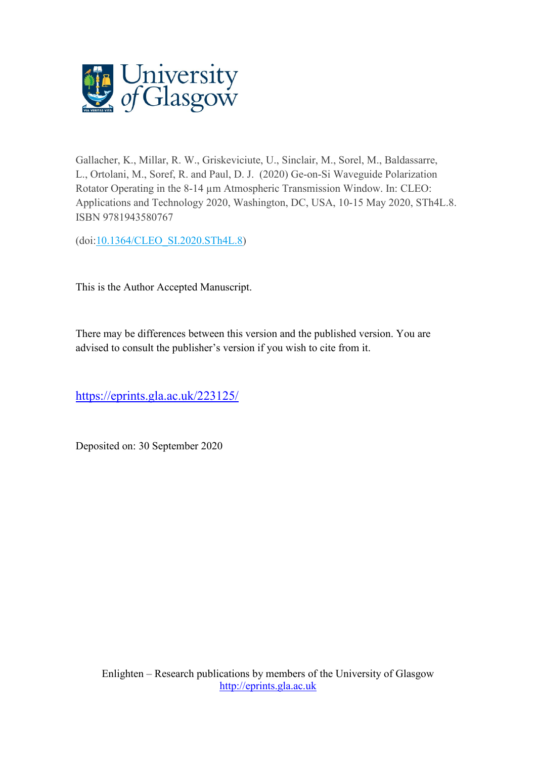

Gallacher, K., Millar, R. W., Griskeviciute, U., Sinclair, M., Sorel, M., Baldassarre, L., Ortolani, M., Soref, R. and Paul, D. J. (2020) Ge-on-Si Waveguide Polarization Rotator Operating in the 8-14 µm Atmospheric Transmission Window. In: CLEO: Applications and Technology 2020, Washington, DC, USA, 10-15 May 2020, STh4L.8. ISBN 9781943580767

(doi[:10.1364/CLEO\\_SI.2020.STh4L.8\)](http://dx.doi.org/10.1364/CLEO_SI.2020.STh4L.8)

This is the Author Accepted Manuscript.

There may be differences between this version and the published version. You are advised to consult the publisher's version if you wish to cite from it.

<https://eprints.gla.ac.uk/223125/>

Deposited on: 30 September 2020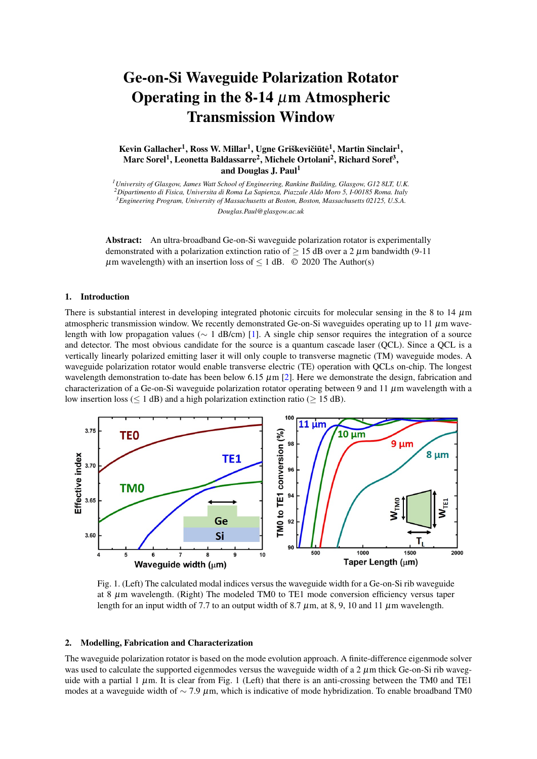# Ge-on-Si Waveguide Polarization Rotator Operating in the 8-14  $\mu$ m Atmospheric Transmission Window

Kevin Gallacher<sup>1</sup>, Ross W. Millar<sup>1</sup>, Ugne Griškevičiūtė<sup>1</sup>, Martin Sinclair<sup>1</sup>, Marc Sorel<sup>1</sup>, Leonetta Baldassarre<sup>2</sup>, Michele Ortolani<sup>2</sup>, Richard Soref<sup>3</sup>, and Douglas J. Paul<sup>1</sup>

*University of Glasgow, James Watt School of Engineering, Rankine Building, Glasgow, G12 8LT, U.K. Dipartimento di Fisica, Universita di Roma La Sapienza, Piazzale Aldo Moro 5, I-00185 Roma. Italy Engineering Program, University of Massachusetts at Boston, Boston, Massachusetts 02125, U.S.A. Douglas.Paul@glasgow.ac.uk*

Abstract: An ultra-broadband Ge-on-Si waveguide polarization rotator is experimentally demonstrated with a polarization extinction ratio of  $\geq$  15 dB over a 2  $\mu$ m bandwidth (9-11)  $\mu$ m wavelength) with an insertion loss of  $\leq 1$  dB.  $\odot$  2020 The Author(s)

#### 1. Introduction

There is substantial interest in developing integrated photonic circuits for molecular sensing in the 8 to 14  $\mu$ m atmospheric transmission window. We recently demonstrated Ge-on-Si waveguides operating up to 11  $\mu$ m wavelength with low propagation values (∼ 1 dB/cm) [\[1\]](#page-2-0). A single chip sensor requires the integration of a source and detector. The most obvious candidate for the source is a quantum cascade laser (QCL). Since a QCL is a vertically linearly polarized emitting laser it will only couple to transverse magnetic (TM) waveguide modes. A waveguide polarization rotator would enable transverse electric (TE) operation with QCLs on-chip. The longest wavelength demonstration to-date has been below 6.15  $\mu$ m [\[2\]](#page-2-1). Here we demonstrate the design, fabrication and characterization of a Ge-on-Si waveguide polarization rotator operating between 9 and 11  $\mu$ m wavelength with a low insertion loss ( $\leq 1$  dB) and a high polarization extinction ratio ( $\geq 15$  dB).



Fig. 1. (Left) The calculated modal indices versus the waveguide width for a Ge-on-Si rib waveguide at 8  $\mu$ m wavelength. (Right) The modeled TM0 to TE1 mode conversion efficiency versus taper length for an input width of 7.7 to an output width of 8.7  $\mu$ m, at 8, 9, 10 and 11  $\mu$ m wavelength.

#### 2. Modelling, Fabrication and Characterization

The waveguide polarization rotator is based on the mode evolution approach. A finite-difference eigenmode solver was used to calculate the supported eigenmodes versus the waveguide width of a  $2 \mu$ m thick Ge-on-Si rib waveguide with a partial 1  $\mu$ m. It is clear from Fig. 1 (Left) that there is an anti-crossing between the TM0 and TE1 modes at a waveguide width of  $\sim$  7.9  $\mu$ m, which is indicative of mode hybridization. To enable broadband TM0